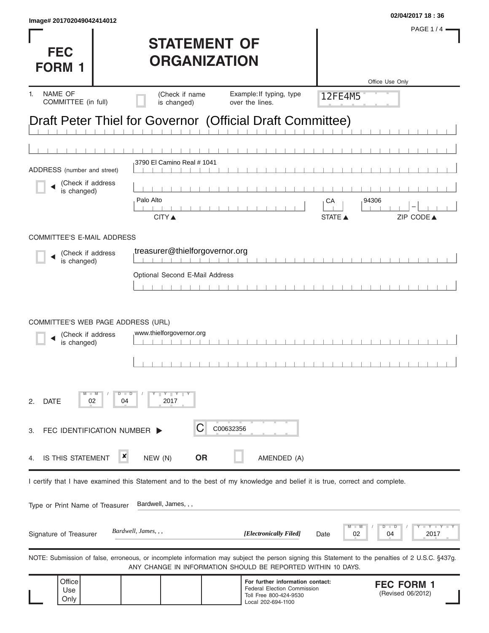| Image# 201702049042414012                                                                                                                         |                                |                                                                        |                | 02/04/2017 18:36                       |
|---------------------------------------------------------------------------------------------------------------------------------------------------|--------------------------------|------------------------------------------------------------------------|----------------|----------------------------------------|
|                                                                                                                                                   |                                |                                                                        |                | <b>PAGE 1/4</b>                        |
| <b>FEC</b>                                                                                                                                        | <b>STATEMENT OF</b>            |                                                                        |                |                                        |
| <b>FORM 1</b>                                                                                                                                     | <b>ORGANIZATION</b>            |                                                                        |                |                                        |
|                                                                                                                                                   |                                |                                                                        |                | Office Use Only                        |
| <b>NAME OF</b><br>1.<br>COMMITTEE (in full)                                                                                                       | (Check if name<br>is changed)  | Example: If typing, type<br>over the lines.                            | 12FE4M5        |                                        |
| Draft Peter Thiel for Governor (Official Draft Committee)                                                                                         |                                |                                                                        |                |                                        |
|                                                                                                                                                   |                                |                                                                        |                |                                        |
|                                                                                                                                                   |                                |                                                                        |                |                                        |
| ADDRESS (number and street)                                                                                                                       | 3790 El Camino Real # 1041     |                                                                        |                |                                        |
| (Check if address<br>is changed)                                                                                                                  |                                |                                                                        |                |                                        |
|                                                                                                                                                   | Palo Alto                      |                                                                        | 94306<br>СA    |                                        |
|                                                                                                                                                   | <b>CITY</b> ▲                  |                                                                        | <b>STATE</b> ▲ | ZIP CODE▲                              |
| <b>COMMITTEE'S E-MAIL ADDRESS</b>                                                                                                                 |                                |                                                                        |                |                                        |
| (Check if address                                                                                                                                 | treasurer@thielforgovernor.org |                                                                        |                |                                        |
| is changed)                                                                                                                                       | Optional Second E-Mail Address |                                                                        |                |                                        |
|                                                                                                                                                   |                                |                                                                        |                |                                        |
|                                                                                                                                                   |                                |                                                                        |                |                                        |
| COMMITTEE'S WEB PAGE ADDRESS (URL)                                                                                                                |                                |                                                                        |                |                                        |
| (Check if address<br>is changed)                                                                                                                  | www.thielforgovernor.org       |                                                                        |                |                                        |
|                                                                                                                                                   |                                |                                                                        |                |                                        |
|                                                                                                                                                   |                                |                                                                        |                |                                        |
| $D$ $D$                                                                                                                                           | $Y \parallel Y$                |                                                                        |                |                                        |
| <b>DATE</b><br>02<br>04<br>2.                                                                                                                     | 2017                           |                                                                        |                |                                        |
|                                                                                                                                                   |                                |                                                                        |                |                                        |
| FEC IDENTIFICATION NUMBER ><br>З.                                                                                                                 | C                              | C00632356                                                              |                |                                        |
| ×<br><b>IS THIS STATEMENT</b><br>4.                                                                                                               | <b>OR</b><br>NEW (N)           | AMENDED (A)                                                            |                |                                        |
|                                                                                                                                                   |                                |                                                                        |                |                                        |
| I certify that I have examined this Statement and to the best of my knowledge and belief it is true, correct and complete.                        |                                |                                                                        |                |                                        |
| Type or Print Name of Treasurer                                                                                                                   | Bardwell, James, , ,           |                                                                        |                |                                        |
|                                                                                                                                                   |                                |                                                                        |                | $Y - I - Y$<br>D<br>T<br>D             |
| Signature of Treasurer                                                                                                                            | Bardwell, James, , ,           | [Electronically Filed]                                                 | 02<br>Date     | 2017<br>04                             |
| NOTE: Submission of false, erroneous, or incomplete information may subject the person signing this Statement to the penalties of 2 U.S.C. §437g. |                                |                                                                        |                |                                        |
|                                                                                                                                                   |                                | ANY CHANGE IN INFORMATION SHOULD BE REPORTED WITHIN 10 DAYS.           |                |                                        |
| Office<br>Use                                                                                                                                     |                                | For further information contact:<br><b>Federal Election Commission</b> |                | <b>FEC FORM 1</b><br>(Revised 06/2012) |
| Only                                                                                                                                              |                                | Toll Free 800-424-9530<br>Local 202-694-1100                           |                |                                        |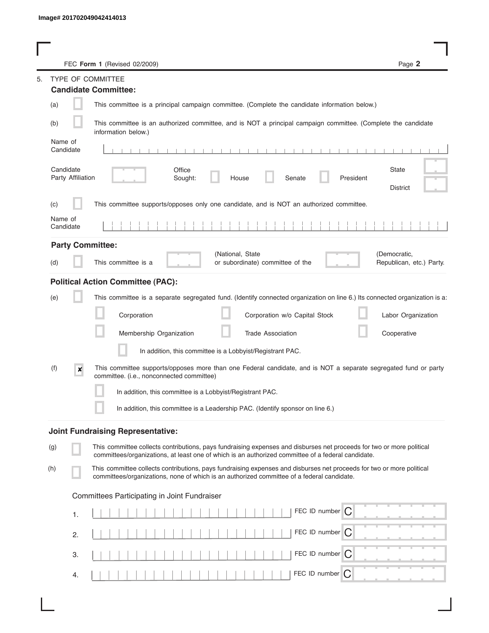|                                | Page 2<br>FEC Form 1 (Revised 02/2009)                                                                                                                                                                                      |
|--------------------------------|-----------------------------------------------------------------------------------------------------------------------------------------------------------------------------------------------------------------------------|
|                                | TYPE OF COMMITTEE                                                                                                                                                                                                           |
|                                | <b>Candidate Committee:</b>                                                                                                                                                                                                 |
| (a)                            | This committee is a principal campaign committee. (Complete the candidate information below.)                                                                                                                               |
| (b)                            | This committee is an authorized committee, and is NOT a principal campaign committee. (Complete the candidate<br>information below.)                                                                                        |
| Name of<br>Candidate           |                                                                                                                                                                                                                             |
| Candidate<br>Party Affiliation | State<br>Office<br>Senate<br>President<br>Sought:<br>House<br><b>District</b>                                                                                                                                               |
| (c)                            | This committee supports/opposes only one candidate, and is NOT an authorized committee.                                                                                                                                     |
| Name of<br>Candidate           |                                                                                                                                                                                                                             |
| <b>Party Committee:</b>        |                                                                                                                                                                                                                             |
| (d)                            | (National, State<br>(Democratic,<br>This committee is a<br>or subordinate) committee of the<br>Republican, etc.) Party.                                                                                                     |
|                                | <b>Political Action Committee (PAC):</b>                                                                                                                                                                                    |
| (e)                            | This committee is a separate segregated fund. (Identify connected organization on line 6.) Its connected organization is a:                                                                                                 |
|                                | Corporation<br>Corporation w/o Capital Stock<br>Labor Organization                                                                                                                                                          |
|                                | Membership Organization<br><b>Trade Association</b><br>Cooperative                                                                                                                                                          |
|                                | In addition, this committee is a Lobbyist/Registrant PAC.                                                                                                                                                                   |
| (f)<br>$\pmb{\times}$          | This committee supports/opposes more than one Federal candidate, and is NOT a separate segregated fund or party<br>committee. (i.e., nonconnected committee)                                                                |
|                                | In addition, this committee is a Lobbyist/Registrant PAC.                                                                                                                                                                   |
|                                | In addition, this committee is a Leadership PAC. (Identify sponsor on line 6.)                                                                                                                                              |
|                                | <b>Joint Fundraising Representative:</b>                                                                                                                                                                                    |
| (g)                            | This committee collects contributions, pays fundraising expenses and disburses net proceeds for two or more political<br>committees/organizations, at least one of which is an authorized committee of a federal candidate. |
| (h)                            | This committee collects contributions, pays fundraising expenses and disburses net proceeds for two or more political<br>committees/organizations, none of which is an authorized committee of a federal candidate.         |
|                                | Committees Participating in Joint Fundraiser                                                                                                                                                                                |
| 1.                             | FEC ID number $\boxed{C}$                                                                                                                                                                                                   |
| 2.                             | FEC ID number $\bigcap$                                                                                                                                                                                                     |
| 3.                             | FEC ID number $\bigcap$                                                                                                                                                                                                     |
| 4.                             | FEC ID number<br>IC.                                                                                                                                                                                                        |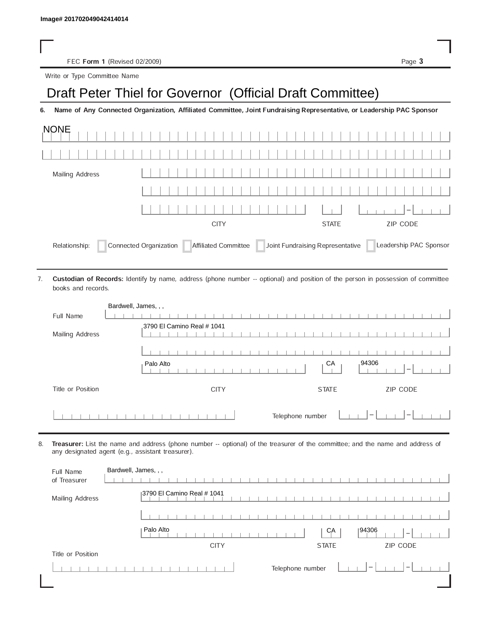FEC Form 1 (Revised 02/2009) Page 3

Write or Type Committee Name

## Image# 201702049042414014<br>
FEC Form 1 (Revised 02/2009)<br>
Write or Type Committee Name<br> **Draft Peter Thiel for Governor (Official Draft Committee)**

6. Name of Any Connected Organization, Affiliated Committee, Joint Fundraising Representative, or Leadership PAC Sponsor

| <b>NONE</b>                                                                                                                   |             |              |                          |  |  |  |  |  |  |  |  |
|-------------------------------------------------------------------------------------------------------------------------------|-------------|--------------|--------------------------|--|--|--|--|--|--|--|--|
|                                                                                                                               |             |              |                          |  |  |  |  |  |  |  |  |
| Mailing Address                                                                                                               |             |              |                          |  |  |  |  |  |  |  |  |
|                                                                                                                               |             |              |                          |  |  |  |  |  |  |  |  |
|                                                                                                                               |             |              | $\overline{\phantom{a}}$ |  |  |  |  |  |  |  |  |
|                                                                                                                               | <b>CITY</b> | <b>STATE</b> | <b>ZIP CODE</b>          |  |  |  |  |  |  |  |  |
| Joint Fundraising Representative<br>Connected Organization<br>Leadership PAC Sponsor<br>Affiliated Committee<br>Relationship: |             |              |                          |  |  |  |  |  |  |  |  |

Custodian of Records: Identify by name, address (phone number -- optional) and position of the person in possession of committee books and records. 7.

| Bardwell, James, , , |                             |                                                     |
|----------------------|-----------------------------|-----------------------------------------------------|
| Full Name            |                             |                                                     |
|                      | 3790 El Camino Real # 1041  |                                                     |
| Mailing Address      |                             |                                                     |
|                      |                             |                                                     |
|                      |                             |                                                     |
|                      | CA<br>Palo Alto             | 94306<br>$\hspace{0.05cm}$                          |
| Title or Position    | <b>CITY</b><br><b>STATE</b> | ZIP CODE                                            |
|                      | Telephone number            | $\hspace{0.1mm}-\hspace{0.1mm}$<br>$\hspace{0.1mm}$ |

8. Treasurer: List the name and address (phone number -- optional) of the treasurer of the committee; and the name and address of any designated agent (e.g., assistant treasurer).

| Full Name<br>of Treasurer | Bardwell, James, , ,                                           |
|---------------------------|----------------------------------------------------------------|
| Mailing Address           | 3790 El Camino Real # 1041                                     |
|                           |                                                                |
|                           | Palo Alto<br> 94306<br>CA<br>$\overline{\phantom{a}}$          |
|                           | ZIP CODE<br><b>CITY</b><br><b>STATE</b>                        |
| Title or Position         |                                                                |
|                           | Telephone number<br>$\overline{\phantom{a}}$<br>$\overline{ }$ |
|                           |                                                                |